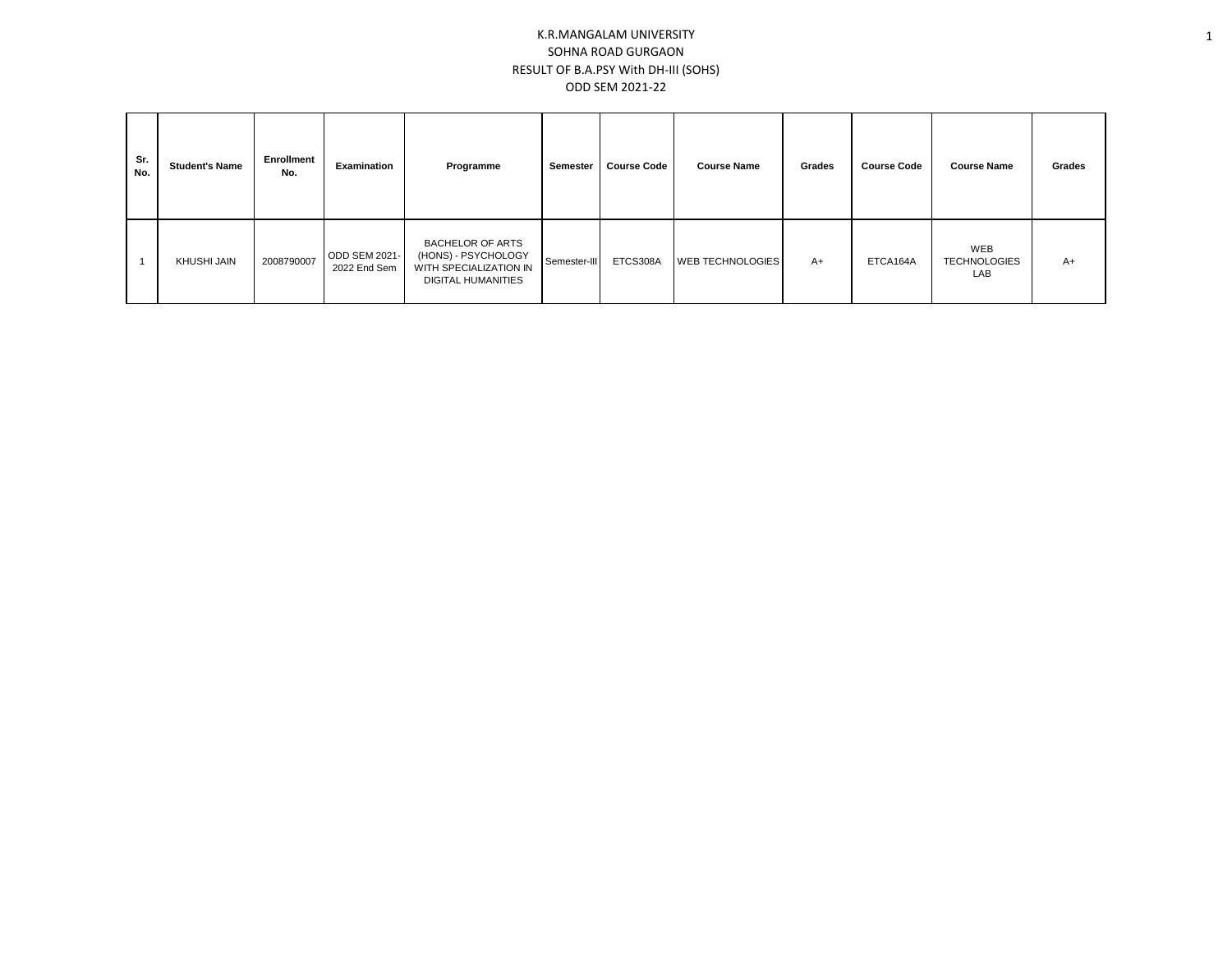## K.R.MANGALAM UNIVERSITY SOHNA ROAD GURGAON RESULT OF B.A.PSY With DH-III (SOHS) ODD SEM 2021-22

| Sr.<br>No. | <b>Student's Name</b> | Enrollment<br>No. | Examination                   | Programme                                                                                             | Semester     | <b>Course Code</b> | <b>Course Name</b>      |      | <b>Course Code</b> | <b>Course Name</b>                | Grades |
|------------|-----------------------|-------------------|-------------------------------|-------------------------------------------------------------------------------------------------------|--------------|--------------------|-------------------------|------|--------------------|-----------------------------------|--------|
|            | KHUSHI JAIN           | 2008790007        | ODD SEM 2021-<br>2022 End Sem | <b>BACHELOR OF ARTS</b><br>(HONS) - PSYCHOLOGY<br>WITH SPECIALIZATION IN<br><b>DIGITAL HUMANITIES</b> | Semester-III | ETCS308A           | <b>WEB TECHNOLOGIES</b> | $A+$ | ETCA164A           | WEB<br><b>TECHNOLOGIES</b><br>LAB | A+     |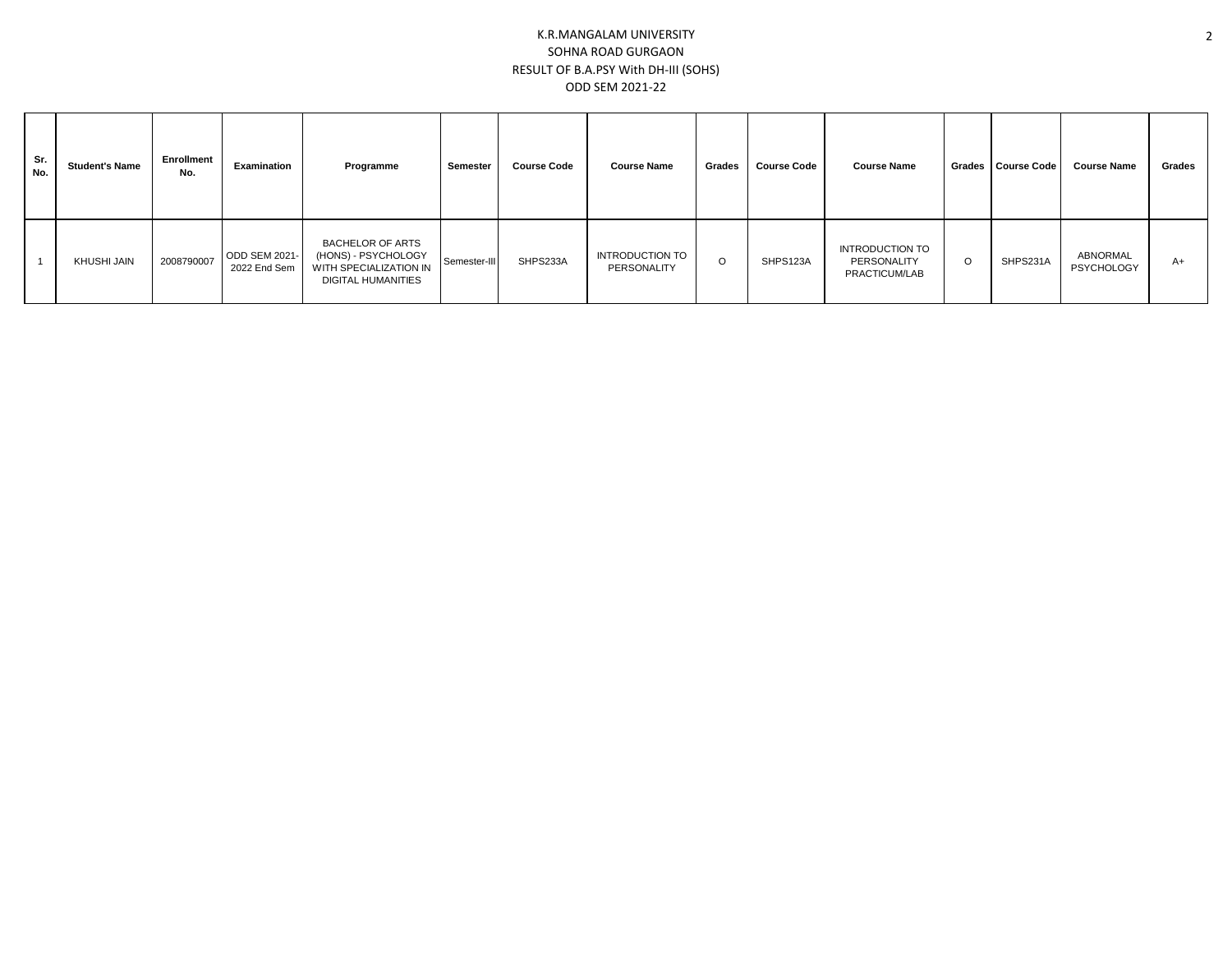## K.R.MANGALAM UNIVERSITY SOHNA ROAD GURGAON RESULT OF B.A.PSY With DH-III (SOHS) ODD SEM 2021-22

| Sr.<br>No. | <b>Student's Name</b> | <b>Enrollment</b><br>No. | Examination                   | Programme                                                                                      | Semester     | <b>Course Code</b> | <b>Course Name</b>                    | Grades | <b>Course Code</b> | <b>Course Name</b>                                     |   | Grades   Course Code | <b>Course Name</b>            | Grades |
|------------|-----------------------|--------------------------|-------------------------------|------------------------------------------------------------------------------------------------|--------------|--------------------|---------------------------------------|--------|--------------------|--------------------------------------------------------|---|----------------------|-------------------------------|--------|
|            | KHUSHI JAIN           | 2008790007               | ODD SEM 2021-<br>2022 End Sem | <b>BACHELOR OF ARTS</b><br>(HONS) - PSYCHOLOGY<br>WITH SPECIALIZATION IN<br>DIGITAL HUMANITIES | Semester-III | SHPS233A           | <b>INTRODUCTION TO</b><br>PERSONALITY | O      | SHPS123A           | <b>INTRODUCTION TO</b><br>PERSONALITY<br>PRACTICUM/LAB | C | SHPS231A             | ABNORMAL<br><b>PSYCHOLOGY</b> | A+     |